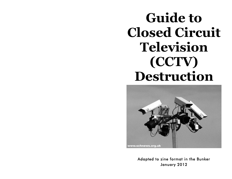# **Guide to Closed Circuit Television (CCTV) Destruction**



Adapted to zine format in the Bunker January 2012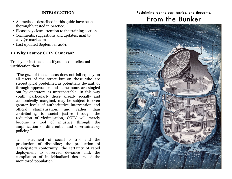#### **INTRODUCTION**

- All methods described in this guide have been thoroughly tested in practice.
- Please pay close attention to the training section.
- Comments, suggestions and updates, mail to: cctv@rtmark.com
- Last updated September 2001.

#### **1.1 Why Destroy CCTV Cameras?**

Trust your instincts, but if you need intellectual justification then:

"The gaze of the cameras does not fall equally on all users of the street but on those who are stereotypical predefined as potentially deviant, or through appearance and demeanour, are singled out by operators as unrespectable. In this way youth, particularly those already socially and economically marginal, may be subject to even greater levels of authoritative intervention and official stigmatisation, and rather than contributing to social justice through the reduction of victimisation, CCTV will merely become a tool of injustice through the amplification of differential and discriminatory policing."

"an instrument of social control and the production of discipline; the production of 'anticipatory conformity'; the certainty of rapid deployment to observed deviance and; the compilation of individualised dossiers of the monitored population."

#### Reclaiming technology, tactics, and thoughts.

## From the Bunker

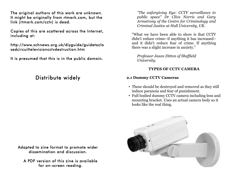The original authors of this work are unknown. It might be originally from rtmark.com, but the link (rtmark.com/cctv) is dead.

Copies of this are scattered across the Internet, including at:

http://www.schnews.org.uk/diyguide/guidetoclo sedcircuittelevisioncctvdestruction.htm

It is presumed that this is in the public domain.

### Distribute widely

Adapted to zine format to promote wider dissemination and discussion.

A PDF version of this zine is available for on-screen reading.

*"The unforgiving Eye: CCTV surveillance in public space" Dr Clive Norris and Gary Armstrong of the Centre for Criminology and Criminal Justice at Hull University, UK.*

"What we have been able to show is that CCTV didn't reduce crime–if anything it has increased– and it didn't reduce fear of crime. If anything there was a slight increase in anxiety."

*Professor Jason Ditton of Sheffield University.*

#### **TYPES OF CCTV CAMERA**

#### **2.1 Dummy CCTV Cameras**

- These should be destroyed and removed as they still induce paranoia and fear of punishment.
- Full bodied dummy CCTV camera including lens and mounting bracket. Uses an actual camera body so it looks like the real thing.

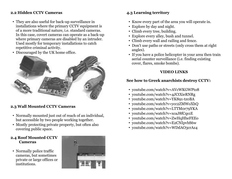#### **2.2 Hidden CCTV Cameras**

- They are also useful for back-up surveillance in installations where the primary CCTV equipment is of a more traditional nature, i.e. standard cameras. In this case, covert cameras can operate as a back-up where primary cameras are disabled by an intruder. Used mostly for temporary installations to catch repetitive criminal activity.
- Discouraged by the UK home office.



#### **2.3 Wall Mounted CCTV Cameras**

- Normally mounted just out of reach of an individual, but accessible by two people working together.
- Mostly protecting private property, but often also covering public space.

#### **2.4 Roof Mounted CCTV Cameras**

• Normally police traffic cameras, but sometimes private or large offices or institutions.



#### **4.3 Learning territory**

- Know every part of the area you will operate in.
- Explore by day and night.
- Climb every tree, building.
- Explore every alley, bush and tunnel.
- Climb every wall and railing and fence.
- Don't use paths or streets (only cross them at right angles).
- If you have a police helicopter in your area then train aerial counter surveillance (i.e. finding existing cover, flares, smoke bombs).

#### **VIDEO LINKS**

#### **See how to Greek anarchists destroy CCTV:**

- youtube.com/watch?v=AVcWKGWPto8
- youtube.com/watch?v=4JCtXieRNRg
- youtube.com/watch?v=YK891-tz0BA
- youtube.com/watch?v=ycc2ZMWoXhQ
- youtube.com/watch?v=LTTM0r79YKA
- youtube.com/watch?v=xcaJ8fCqs1E
- youtube.com/watch?v=ZwHqHheFEEo
- youtube.com/watch?v=E2CNIpvbS6w
- voutube.com/watch?v=WDdAO3crAz4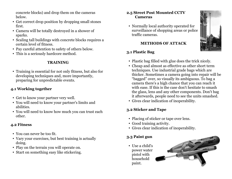concrete blocks) and drop them on the cameras below.

- Get correct drop position by dropping small stones first.
- Camera will be totally destroyed in a shower of sparks.
- Scaling tall buildings with concrete blocks requires a certain level of fitness.
- Pay careful attention to safety of others below.
- This is a seriously hardcore method.

#### **TRAINING**

• Training is essential for not only fitness, but also for developing techniques and, more importantly, preparing for unpredictable events.

#### **4.1 Working together**

- Get to know your partner very well.
- You will need to know your partner's limits and abilities.
- You will need to know how much you can trust each other.

#### **4.2 Fitness**

- You can never be too fit.
- Vary your exercises, but best training is actually doing.
- Play on the terrain you will operate on.
- Start on something easy like stickering.

#### **2.5 Street Post Mounted CCTV Cameras**

• Normally local authority operated for surveillance of shopping areas or police traffic cameras.

#### **METHODS OF ATTACK**

#### **3.1 Plastic Bag**

- Plastic bag filled with glue does the trick nicely.
- Cheap and almost as effective as other short term techniques. Use industrial grade bags which are thicker. Sometimes a camera going into repair will be "bagged" over, so visually its ambiguous. To bag a camera there's a high chance that you can reach it with ease. If this is the case don't hesitate to smash the glass, lens and any other components. Don't bag it afterwards, people need to see the units smashed.
- Gives clear indication of inoperability.

#### **3.2 Sticker and Tape**

- Placing of sticker or tape over lens.
- Good training activity.
- Gives clear indication of inoperability.

#### **3.3 Paint gun**

• Use a child's power water pistol with household paint.